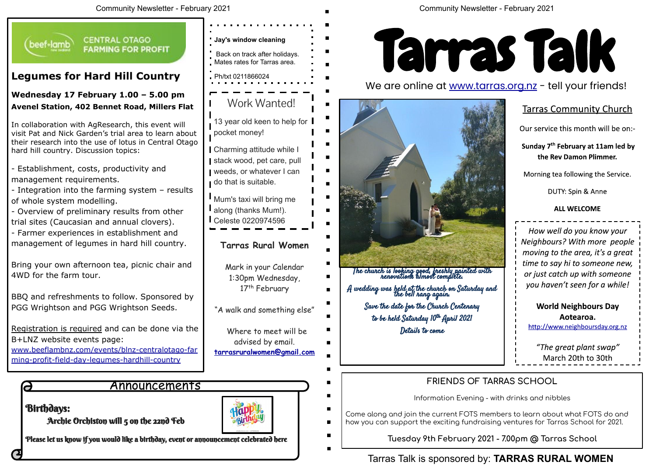# Tarras Talk is sponsored by: **TARRAS RURAL WOMEN**



## We are online at www.tarras.org.nz - tell your friends!

### **Tarras Community Church**

Our service this month will be on:-

Sunday 7<sup>th</sup> February at 11am led by the Rev Damon Plimmer.

Morning tea following the Service.

DUTY: Spin & Anne

#### **ALL WELCOME**

How well do you know your Neighbours? With more people moving to the area, it's a great time to say hi to someone new, or just catch up with someone you haven't seen for a while!

> **World Neighbours Day** Aotearoa.

http://www.neighboursday.org.nz

"The great plant swap" March 20th to 30th



The church is looking good, freshly painted with renovations almost complete.

A wedding was held at the church on Saturday and the bell rang again.

 $\blacksquare$ 

Save the date for the Church Centenary

to be held Saturday 10<sup>th</sup> April 2021

Details to come

### **FRIENDS OF TARRAS SCHOOL**

Information Evening - with drinks and nibbles

Come along and join the current FOTS members to learn about what FOTS do and how you can support the exciting fundraising ventures for Tarras School for 2021.

**Tuesday 9th February 2021 - 7.00pm @ Tarras School**